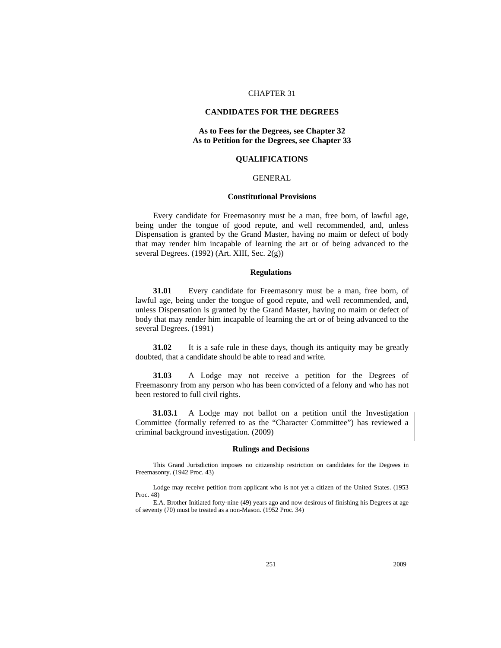# CHAPTER 31

# **CANDIDATES FOR THE DEGREES**

# **As to Fees for the Degrees, see Chapter 32 As to Petition for the Degrees, see Chapter 33**

# **QUALIFICATIONS**

# GENERAL

## **Constitutional Provisions**

Every candidate for Freemasonry must be a man, free born, of lawful age, being under the tongue of good repute, and well recommended, and, unless Dispensation is granted by the Grand Master, having no maim or defect of body that may render him incapable of learning the art or of being advanced to the several Degrees. (1992) (Art. XIII, Sec. 2(g))

## **Regulations**

**31.01** Every candidate for Freemasonry must be a man, free born, of lawful age, being under the tongue of good repute, and well recommended, and, unless Dispensation is granted by the Grand Master, having no maim or defect of body that may render him incapable of learning the art or of being advanced to the several Degrees. (1991)

**31.02** It is a safe rule in these days, though its antiquity may be greatly doubted, that a candidate should be able to read and write.

**31.03** A Lodge may not receive a petition for the Degrees of Freemasonry from any person who has been convicted of a felony and who has not been restored to full civil rights.

**31.03.1** A Lodge may not ballot on a petition until the Investigation Committee (formally referred to as the "Character Committee") has reviewed a criminal background investigation. (2009)

# **Rulings and Decisions**

This Grand Jurisdiction imposes no citizenship restriction on candidates for the Degrees in Freemasonry. (1942 Proc. 43)

Lodge may receive petition from applicant who is not yet a citizen of the United States. (1953 Proc. 48)

E.A. Brother Initiated forty-nine (49) years ago and now desirous of finishing his Degrees at age of seventy (70) must be treated as a non-Mason. (1952 Proc. 34)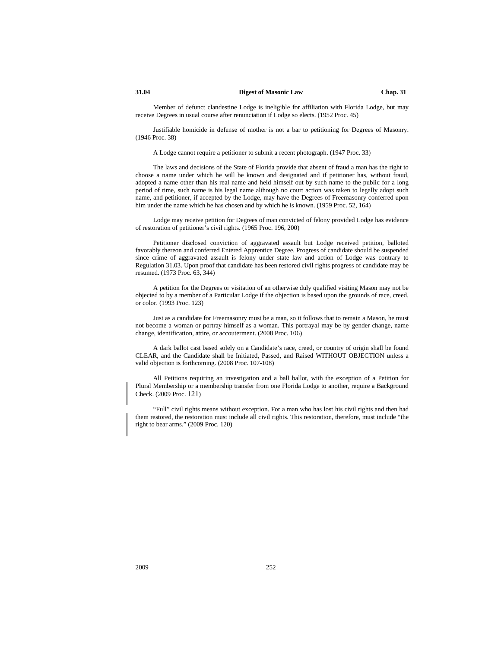# **31.04 Digest of Masonic Law Chap. 31**

Member of defunct clandestine Lodge is ineligible for affiliation with Florida Lodge, but may receive Degrees in usual course after renunciation if Lodge so elects. (1952 Proc. 45)

Justifiable homicide in defense of mother is not a bar to petitioning for Degrees of Masonry. (1946 Proc. 38)

A Lodge cannot require a petitioner to submit a recent photograph. (1947 Proc. 33)

The laws and decisions of the State of Florida provide that absent of fraud a man has the right to choose a name under which he will be known and designated and if petitioner has, without fraud, adopted a name other than his real name and held himself out by such name to the public for a long period of time, such name is his legal name although no court action was taken to legally adopt such name, and petitioner, if accepted by the Lodge, may have the Degrees of Freemasonry conferred upon him under the name which he has chosen and by which he is known. (1959 Proc. 52, 164)

Lodge may receive petition for Degrees of man convicted of felony provided Lodge has evidence of restoration of petitioner's civil rights. (1965 Proc. 196, 200)

Petitioner disclosed conviction of aggravated assault but Lodge received petition, balloted favorably thereon and conferred Entered Apprentice Degree. Progress of candidate should be suspended since crime of aggravated assault is felony under state law and action of Lodge was contrary to Regulation 31.03. Upon proof that candidate has been restored civil rights progress of candidate may be resumed. (1973 Proc. 63, 344)

A petition for the Degrees or visitation of an otherwise duly qualified visiting Mason may not be objected to by a member of a Particular Lodge if the objection is based upon the grounds of race, creed, or color. (1993 Proc. 123)

Just as a candidate for Freemasonry must be a man, so it follows that to remain a Mason, he must not become a woman or portray himself as a woman. This portrayal may be by gender change, name change, identification, attire, or accouterment. (2008 Proc. 106)

A dark ballot cast based solely on a Candidate's race, creed, or country of origin shall be found CLEAR, and the Candidate shall be Initiated, Passed, and Raised WITHOUT OBJECTION unless a valid objection is forthcoming. (2008 Proc. 107-108)

All Petitions requiring an investigation and a ball ballot, with the exception of a Petition for Plural Membership or a membership transfer from one Florida Lodge to another, require a Background Check. (2009 Proc. 121)

"Full" civil rights means without exception. For a man who has lost his civil rights and then had them restored, the restoration must include all civil rights. This restoration, therefore, must include "the right to bear arms." (2009 Proc. 120)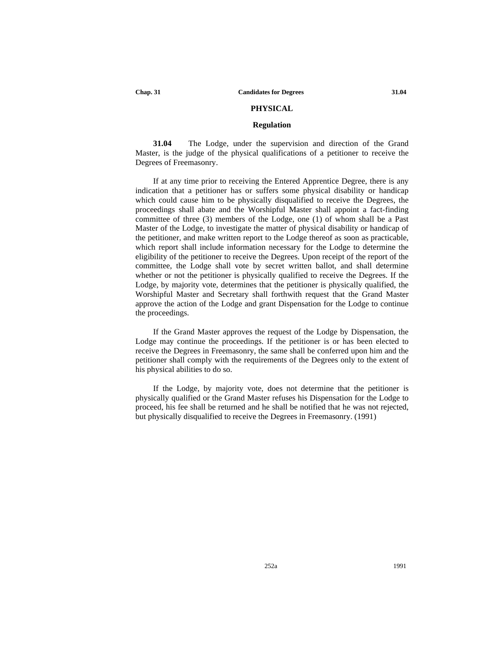# **PHYSICAL**

# **Regulation**

**31.04** The Lodge, under the supervision and direction of the Grand Master, is the judge of the physical qualifications of a petitioner to receive the Degrees of Freemasonry.

If at any time prior to receiving the Entered Apprentice Degree, there is any indication that a petitioner has or suffers some physical disability or handicap which could cause him to be physically disqualified to receive the Degrees, the proceedings shall abate and the Worshipful Master shall appoint a fact-finding committee of three (3) members of the Lodge, one (1) of whom shall be a Past Master of the Lodge, to investigate the matter of physical disability or handicap of the petitioner, and make written report to the Lodge thereof as soon as practicable, which report shall include information necessary for the Lodge to determine the eligibility of the petitioner to receive the Degrees. Upon receipt of the report of the committee, the Lodge shall vote by secret written ballot, and shall determine whether or not the petitioner is physically qualified to receive the Degrees. If the Lodge, by majority vote, determines that the petitioner is physically qualified, the Worshipful Master and Secretary shall forthwith request that the Grand Master approve the action of the Lodge and grant Dispensation for the Lodge to continue the proceedings.

If the Grand Master approves the request of the Lodge by Dispensation, the Lodge may continue the proceedings. If the petitioner is or has been elected to receive the Degrees in Freemasonry, the same shall be conferred upon him and the petitioner shall comply with the requirements of the Degrees only to the extent of his physical abilities to do so.

If the Lodge, by majority vote, does not determine that the petitioner is physically qualified or the Grand Master refuses his Dispensation for the Lodge to proceed, his fee shall be returned and he shall be notified that he was not rejected, but physically disqualified to receive the Degrees in Freemasonry. (1991)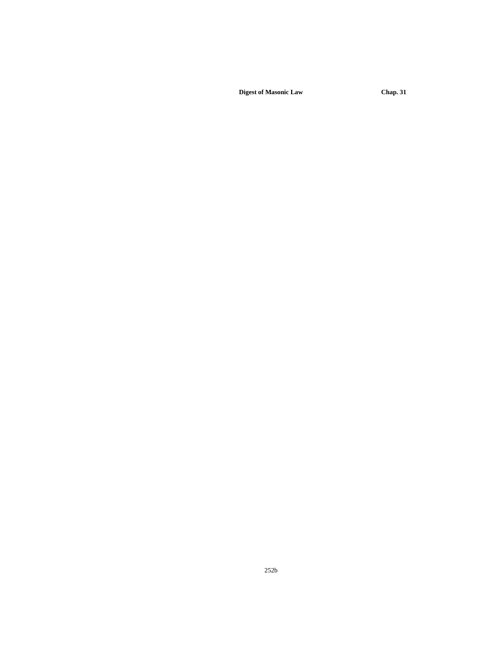**Digest of Masonic Law Chap. 31**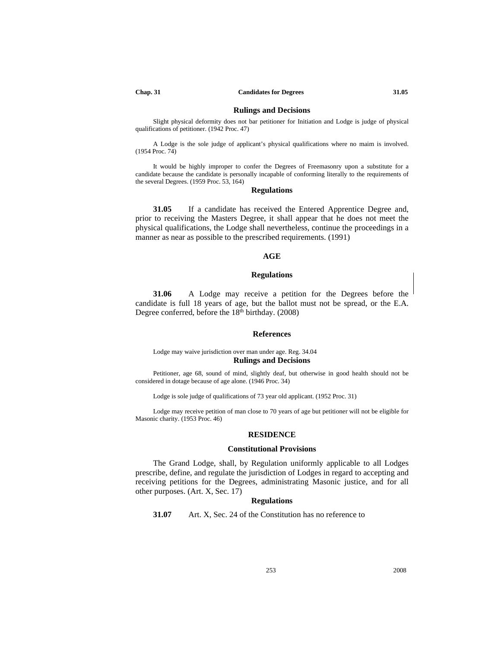#### **Rulings and Decisions**

Slight physical deformity does not bar petitioner for Initiation and Lodge is judge of physical qualifications of petitioner. (1942 Proc. 47)

A Lodge is the sole judge of applicant's physical qualifications where no maim is involved. (1954 Proc. 74)

It would be highly improper to confer the Degrees of Freemasonry upon a substitute for a candidate because the candidate is personally incapable of conforming literally to the requirements of the several Degrees. (1959 Proc. 53, 164)

# **Regulations**

**31.05** If a candidate has received the Entered Apprentice Degree and, prior to receiving the Masters Degree, it shall appear that he does not meet the physical qualifications, the Lodge shall nevertheless, continue the proceedings in a manner as near as possible to the prescribed requirements. (1991)

## **AGE**

# **Regulations**

**31.06** A Lodge may receive a petition for the Degrees before the candidate is full 18 years of age, but the ballot must not be spread, or the E.A. Degree conferred, before the  $18<sup>th</sup>$  birthday. (2008)

## **References**

# Lodge may waive jurisdiction over man under age. Reg. 34.04 **Rulings and Decisions**

Petitioner, age 68, sound of mind, slightly deaf, but otherwise in good health should not be considered in dotage because of age alone. (1946 Proc. 34)

Lodge is sole judge of qualifications of 73 year old applicant. (1952 Proc. 31)

Lodge may receive petition of man close to 70 years of age but petitioner will not be eligible for Masonic charity. (1953 Proc. 46)

# **RESIDENCE**

### **Constitutional Provisions**

The Grand Lodge, shall, by Regulation uniformly applicable to all Lodges prescribe, define, and regulate the jurisdiction of Lodges in regard to accepting and receiving petitions for the Degrees, administrating Masonic justice, and for all other purposes. (Art. X, Sec. 17)

#### **Regulations**

**31.07** Art. X, Sec. 24 of the Constitution has no reference to

253 2008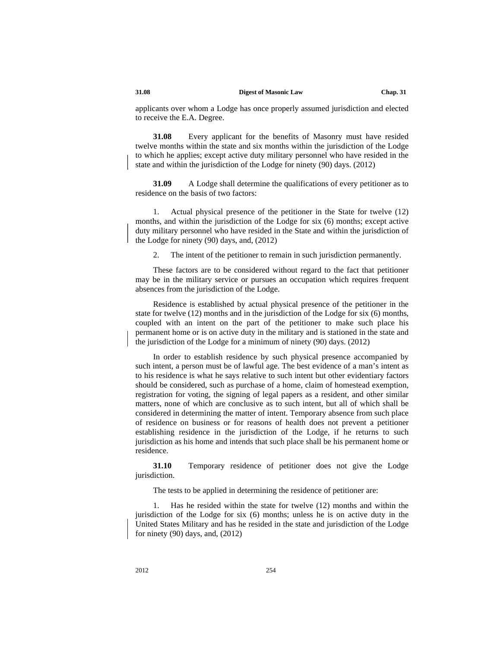#### **31.08 Digest of Masonic Law Chap. 31**

applicants over whom a Lodge has once properly assumed jurisdiction and elected to receive the E.A. Degree.

**31.08** Every applicant for the benefits of Masonry must have resided twelve months within the state and six months within the jurisdiction of the Lodge to which he applies; except active duty military personnel who have resided in the state and within the jurisdiction of the Lodge for ninety (90) days. (2012)

**31.09** A Lodge shall determine the qualifications of every petitioner as to residence on the basis of two factors:

1. Actual physical presence of the petitioner in the State for twelve (12) months, and within the jurisdiction of the Lodge for six (6) months; except active duty military personnel who have resided in the State and within the jurisdiction of the Lodge for ninety (90) days, and, (2012)

2. The intent of the petitioner to remain in such jurisdiction permanently.

These factors are to be considered without regard to the fact that petitioner may be in the military service or pursues an occupation which requires frequent absences from the jurisdiction of the Lodge.

Residence is established by actual physical presence of the petitioner in the state for twelve (12) months and in the jurisdiction of the Lodge for six (6) months, coupled with an intent on the part of the petitioner to make such place his permanent home or is on active duty in the military and is stationed in the state and the jurisdiction of the Lodge for a minimum of ninety (90) days. (2012)

In order to establish residence by such physical presence accompanied by such intent, a person must be of lawful age. The best evidence of a man's intent as to his residence is what he says relative to such intent but other evidentiary factors should be considered, such as purchase of a home, claim of homestead exemption, registration for voting, the signing of legal papers as a resident, and other similar matters, none of which are conclusive as to such intent, but all of which shall be considered in determining the matter of intent. Temporary absence from such place of residence on business or for reasons of health does not prevent a petitioner establishing residence in the jurisdiction of the Lodge, if he returns to such jurisdiction as his home and intends that such place shall be his permanent home or residence.

**31.10** Temporary residence of petitioner does not give the Lodge jurisdiction.

The tests to be applied in determining the residence of petitioner are:

1. Has he resided within the state for twelve (12) months and within the jurisdiction of the Lodge for six (6) months; unless he is on active duty in the United States Military and has he resided in the state and jurisdiction of the Lodge for ninety (90) days, and, (2012)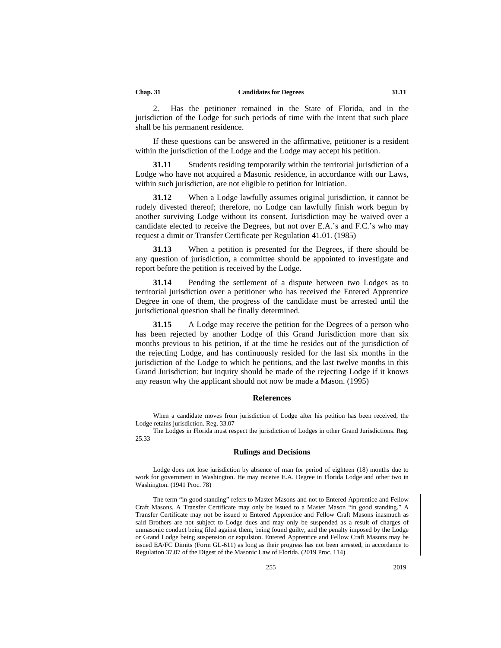2. Has the petitioner remained in the State of Florida, and in the jurisdiction of the Lodge for such periods of time with the intent that such place shall be his permanent residence.

If these questions can be answered in the affirmative, petitioner is a resident within the jurisdiction of the Lodge and the Lodge may accept his petition.

**31.11** Students residing temporarily within the territorial jurisdiction of a Lodge who have not acquired a Masonic residence, in accordance with our Laws, within such jurisdiction, are not eligible to petition for Initiation.

**31.12** When a Lodge lawfully assumes original jurisdiction, it cannot be rudely divested thereof; therefore, no Lodge can lawfully finish work begun by another surviving Lodge without its consent. Jurisdiction may be waived over a candidate elected to receive the Degrees, but not over E.A.'s and F.C.'s who may request a dimit or Transfer Certificate per Regulation 41.01. (1985)

**31.13** When a petition is presented for the Degrees, if there should be any question of jurisdiction, a committee should be appointed to investigate and report before the petition is received by the Lodge.

**31.14** Pending the settlement of a dispute between two Lodges as to territorial jurisdiction over a petitioner who has received the Entered Apprentice Degree in one of them, the progress of the candidate must be arrested until the jurisdictional question shall be finally determined.

**31.15** A Lodge may receive the petition for the Degrees of a person who has been rejected by another Lodge of this Grand Jurisdiction more than six months previous to his petition, if at the time he resides out of the jurisdiction of the rejecting Lodge, and has continuously resided for the last six months in the jurisdiction of the Lodge to which he petitions, and the last twelve months in this Grand Jurisdiction; but inquiry should be made of the rejecting Lodge if it knows any reason why the applicant should not now be made a Mason. (1995)

# **References**

When a candidate moves from jurisdiction of Lodge after his petition has been received, the Lodge retains jurisdiction. Reg. 33.07

The Lodges in Florida must respect the jurisdiction of Lodges in other Grand Jurisdictions. Reg. 25.33

## **Rulings and Decisions**

Lodge does not lose jurisdiction by absence of man for period of eighteen (18) months due to work for government in Washington. He may receive E.A. Degree in Florida Lodge and other two in Washington. (1941 Proc. 78)

The term "in good standing" refers to Master Masons and not to Entered Apprentice and Fellow Craft Masons. A Transfer Certificate may only be issued to a Master Mason "in good standing." A Transfer Certificate may not be issued to Entered Apprentice and Fellow Craft Masons inasmuch as said Brothers are not subject to Lodge dues and may only be suspended as a result of charges of unmasonic conduct being filed against them, being found guilty, and the penalty imposed by the Lodge or Grand Lodge being suspension or expulsion. Entered Apprentice and Fellow Craft Masons may be issued EA/FC Dimits (Form GL-611) as long as their progress has not been arrested, in accordance to Regulation 37.07 of the Digest of the Masonic Law of Florida. (2019 Proc. 114)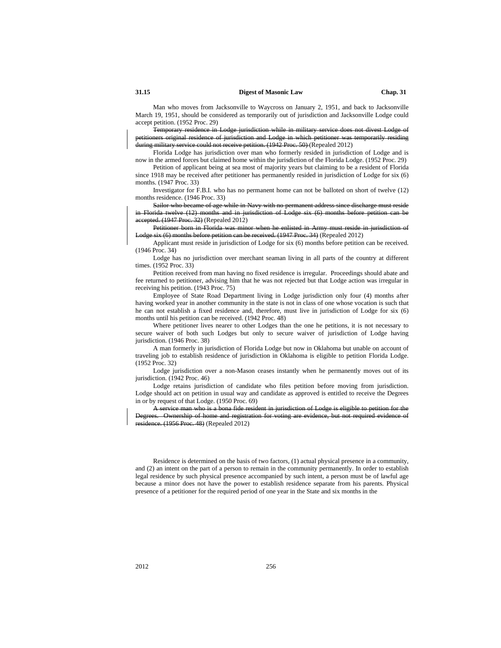Man who moves from Jacksonville to Waycross on January 2, 1951, and back to Jacksonville March 19, 1951, should be considered as temporarily out of jurisdiction and Jacksonville Lodge could accept petition. (1952 Proc. 29)

Temporary residence in Lodge jurisdiction while in military service does not divest Lodge of ners original residence of jurisdiction and Lodge in which petitioner was temporarily residing during military service could not receive petition. (1942 Proc. 50) (Repealed 2012)

Florida Lodge has jurisdiction over man who formerly resided in jurisdiction of Lodge and is now in the armed forces but claimed home within the jurisdiction of the Florida Lodge. (1952 Proc. 29)

Petition of applicant being at sea most of majority years but claiming to be a resident of Florida since 1918 may be received after petitioner has permanently resided in jurisdiction of Lodge for six (6) months. (1947 Proc. 33)

Investigator for F.B.I. who has no permanent home can not be balloted on short of twelve (12) months residence. (1946 Proc. 33)

Sailor who became of age while in Navy with no permanent address since discharge must reside Florida twelve (12) months and in jurisdiction of Lodge six (6) months before petition can be accepted. (1947 Proc. 32) (Repealed 2012)

Petitioner born in Florida was minor when he enlisted in Army must reside in jurisdiction dge six (6) months before petition can be received. (1947 Proc. 34) (Repealed 2012)

Applicant must reside in jurisdiction of Lodge for six (6) months before petition can be received. (1946 Proc. 34)

Lodge has no jurisdiction over merchant seaman living in all parts of the country at different times. (1952 Proc. 33)

Petition received from man having no fixed residence is irregular. Proceedings should abate and fee returned to petitioner, advising him that he was not rejected but that Lodge action was irregular in receiving his petition. (1943 Proc. 75)

Employee of State Road Department living in Lodge jurisdiction only four (4) months after having worked year in another community in the state is not in class of one whose vocation is such that he can not establish a fixed residence and, therefore, must live in jurisdiction of Lodge for six (6) months until his petition can be received. (1942 Proc. 48)

Where petitioner lives nearer to other Lodges than the one he petitions, it is not necessary to secure waiver of both such Lodges but only to secure waiver of jurisdiction of Lodge having jurisdiction. (1946 Proc. 38)

A man formerly in jurisdiction of Florida Lodge but now in Oklahoma but unable on account of traveling job to establish residence of jurisdiction in Oklahoma is eligible to petition Florida Lodge. (1952 Proc. 32)

Lodge jurisdiction over a non-Mason ceases instantly when he permanently moves out of its jurisdiction. (1942 Proc. 46)

Lodge retains jurisdiction of candidate who files petition before moving from jurisdiction. Lodge should act on petition in usual way and candidate as approved is entitled to receive the Degrees in or by request of that Lodge. (1950 Proc. 69)

A service man who is a bona fide resident in jurisdiction of Lodge is eligible to petition for the Degrees. Ownership of home and registration for voting are evidence, but not required evidence of idence. (1956 Proc. 48) (Repealed 2012)

Residence is determined on the basis of two factors, (1) actual physical presence in a community, and (2) an intent on the part of a person to remain in the community permanently. In order to establish legal residence by such physical presence accompanied by such intent, a person must be of lawful age because a minor does not have the power to establish residence separate from his parents. Physical presence of a petitioner for the required period of one year in the State and six months in the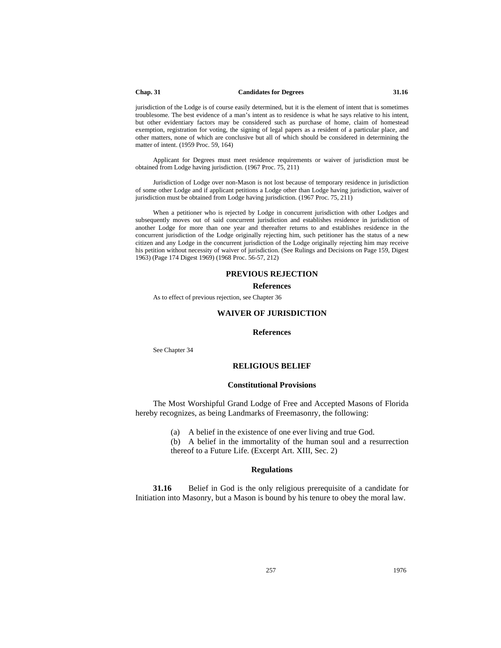#### **Chap. 31 Candidates for Degrees 31.16**

jurisdiction of the Lodge is of course easily determined, but it is the element of intent that is sometimes troublesome. The best evidence of a man's intent as to residence is what he says relative to his intent, but other evidentiary factors may be considered such as purchase of home, claim of homestead exemption, registration for voting, the signing of legal papers as a resident of a particular place, and other matters, none of which are conclusive but all of which should be considered in determining the matter of intent. (1959 Proc. 59, 164)

Applicant for Degrees must meet residence requirements or waiver of jurisdiction must be obtained from Lodge having jurisdiction. (1967 Proc. 75, 211)

Jurisdiction of Lodge over non-Mason is not lost because of temporary residence in jurisdiction of some other Lodge and if applicant petitions a Lodge other than Lodge having jurisdiction, waiver of jurisdiction must be obtained from Lodge having jurisdiction. (1967 Proc. 75, 211)

When a petitioner who is rejected by Lodge in concurrent jurisdiction with other Lodges and subsequently moves out of said concurrent jurisdiction and establishes residence in jurisdiction of another Lodge for more than one year and thereafter returns to and establishes residence in the concurrent jurisdiction of the Lodge originally rejecting him, such petitioner has the status of a new citizen and any Lodge in the concurrent jurisdiction of the Lodge originally rejecting him may receive his petition without necessity of waiver of jurisdiction. (See Rulings and Decisions on Page 159, Digest 1963) (Page 174 Digest 1969) (1968 Proc. 56-57, 212)

# **PREVIOUS REJECTION**

## **References**

As to effect of previous rejection, see Chapter 36

# **WAIVER OF JURISDICTION**

## **References**

See Chapter 34

# **RELIGIOUS BELIEF**

## **Constitutional Provisions**

The Most Worshipful Grand Lodge of Free and Accepted Masons of Florida hereby recognizes, as being Landmarks of Freemasonry, the following:

(a) A belief in the existence of one ever living and true God.

(b) A belief in the immortality of the human soul and a resurrection thereof to a Future Life. (Excerpt Art. XIII, Sec. 2)

# **Regulations**

**31.16** Belief in God is the only religious prerequisite of a candidate for Initiation into Masonry, but a Mason is bound by his tenure to obey the moral law.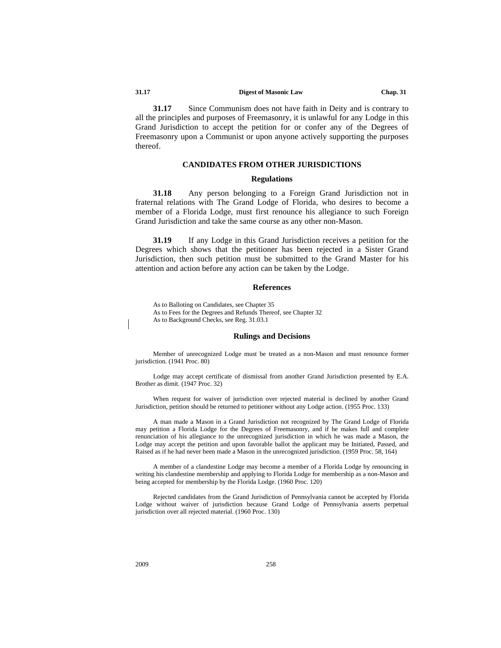## **31.17 Digest of Masonic Law Chap. 31**

**31.17** Since Communism does not have faith in Deity and is contrary to all the principles and purposes of Freemasonry, it is unlawful for any Lodge in this Grand Jurisdiction to accept the petition for or confer any of the Degrees of Freemasonry upon a Communist or upon anyone actively supporting the purposes thereof.

# **CANDIDATES FROM OTHER JURISDICTIONS**

## **Regulations**

**31.18** Any person belonging to a Foreign Grand Jurisdiction not in fraternal relations with The Grand Lodge of Florida, who desires to become a member of a Florida Lodge, must first renounce his allegiance to such Foreign Grand Jurisdiction and take the same course as any other non-Mason.

**31.19** If any Lodge in this Grand Jurisdiction receives a petition for the Degrees which shows that the petitioner has been rejected in a Sister Grand Jurisdiction, then such petition must be submitted to the Grand Master for his attention and action before any action can be taken by the Lodge.

## **References**

As to Balloting on Candidates, see Chapter 35 As to Fees for the Degrees and Refunds Thereof, see Chapter 32 As to Background Checks, see Reg. 31.03.1

## **Rulings and Decisions**

Member of unrecognized Lodge must be treated as a non-Mason and must renounce former jurisdiction. (1941 Proc. 80)

Lodge may accept certificate of dismissal from another Grand Jurisdiction presented by E.A. Brother as dimit. (1947 Proc. 32)

When request for waiver of jurisdiction over rejected material is declined by another Grand Jurisdiction, petition should be returned to petitioner without any Lodge action. (1955 Proc. 133)

A man made a Mason in a Grand Jurisdiction not recognized by The Grand Lodge of Florida may petition a Florida Lodge for the Degrees of Freemasonry, and if he makes full and complete renunciation of his allegiance to the unrecognized jurisdiction in which he was made a Mason, the Lodge may accept the petition and upon favorable ballot the applicant may be Initiated, Passed, and Raised as if he had never been made a Mason in the unrecognized jurisdiction. (1959 Proc. 58, 164)

A member of a clandestine Lodge may become a member of a Florida Lodge by renouncing in writing his clandestine membership and applying to Florida Lodge for membership as a non-Mason and being accepted for membership by the Florida Lodge. (1960 Proc. 120)

Rejected candidates from the Grand Jurisdiction of Pennsylvania cannot be accepted by Florida Lodge without waiver of jurisdiction because Grand Lodge of Pennsylvania asserts perpetual jurisdiction over all rejected material. (1960 Proc. 130)